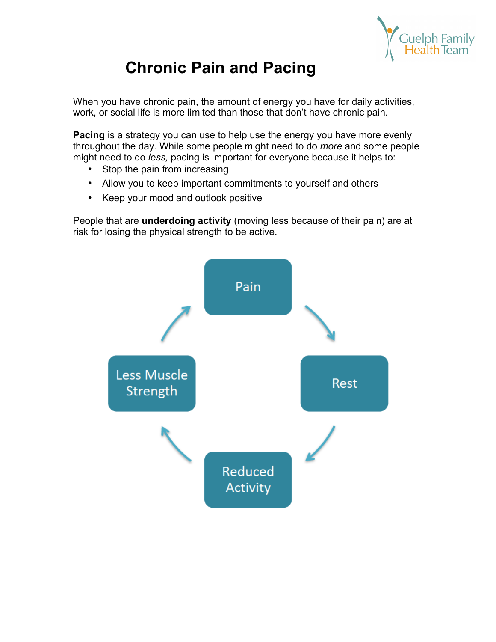

# **Chronic Pain and Pacing**

When you have chronic pain, the amount of energy you have for daily activities, work, or social life is more limited than those that don't have chronic pain.

**Pacing** is a strategy you can use to help use the energy you have more evenly throughout the day. While some people might need to do *more* and some people might need to do *less,* pacing is important for everyone because it helps to:

- Stop the pain from increasing
- Allow you to keep important commitments to yourself and others
- Keep your mood and outlook positive

People that are **underdoing activity** (moving less because of their pain) are at risk for losing the physical strength to be active.

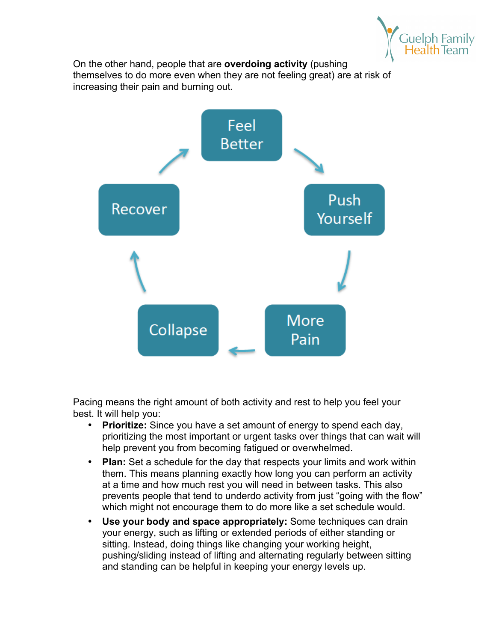

On the other hand, people that are **overdoing activity** (pushing themselves to do more even when they are not feeling great) are at risk of increasing their pain and burning out.



Pacing means the right amount of both activity and rest to help you feel your best. It will help you:

- **Prioritize:** Since you have a set amount of energy to spend each day, prioritizing the most important or urgent tasks over things that can wait will help prevent you from becoming fatigued or overwhelmed.
- **Plan:** Set a schedule for the day that respects your limits and work within them. This means planning exactly how long you can perform an activity at a time and how much rest you will need in between tasks. This also prevents people that tend to underdo activity from just "going with the flow" which might not encourage them to do more like a set schedule would.
- **Use your body and space appropriately:** Some techniques can drain your energy, such as lifting or extended periods of either standing or sitting. Instead, doing things like changing your working height, pushing/sliding instead of lifting and alternating regularly between sitting and standing can be helpful in keeping your energy levels up.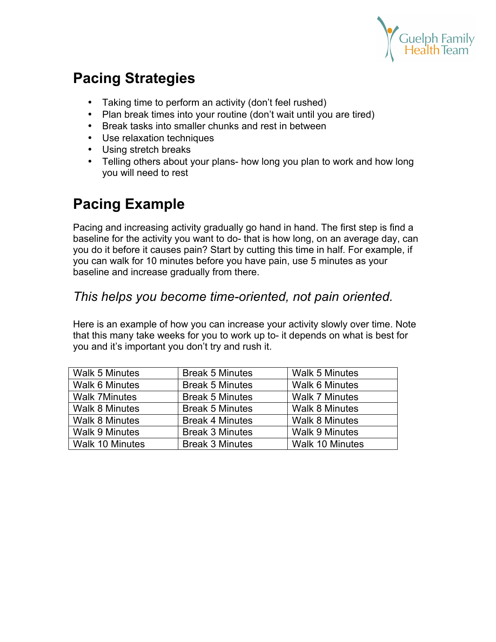

# **Pacing Strategies**

- Taking time to perform an activity (don't feel rushed)
- Plan break times into your routine (don't wait until you are tired)
- Break tasks into smaller chunks and rest in between
- Use relaxation techniques
- Using stretch breaks
- Telling others about your plans- how long you plan to work and how long you will need to rest

# **Pacing Example**

Pacing and increasing activity gradually go hand in hand. The first step is find a baseline for the activity you want to do- that is how long, on an average day, can you do it before it causes pain? Start by cutting this time in half. For example, if you can walk for 10 minutes before you have pain, use 5 minutes as your baseline and increase gradually from there.

### *This helps you become time-oriented, not pain oriented.*

Here is an example of how you can increase your activity slowly over time. Note that this many take weeks for you to work up to- it depends on what is best for you and it's important you don't try and rush it.

| <b>Walk 5 Minutes</b>  | <b>Break 5 Minutes</b> | <b>Walk 5 Minutes</b>  |
|------------------------|------------------------|------------------------|
| <b>Walk 6 Minutes</b>  | <b>Break 5 Minutes</b> | <b>Walk 6 Minutes</b>  |
| <b>Walk 7Minutes</b>   | <b>Break 5 Minutes</b> | <b>Walk 7 Minutes</b>  |
| <b>Walk 8 Minutes</b>  | <b>Break 5 Minutes</b> | <b>Walk 8 Minutes</b>  |
| <b>Walk 8 Minutes</b>  | <b>Break 4 Minutes</b> | <b>Walk 8 Minutes</b>  |
| <b>Walk 9 Minutes</b>  | <b>Break 3 Minutes</b> | <b>Walk 9 Minutes</b>  |
| <b>Walk 10 Minutes</b> | <b>Break 3 Minutes</b> | <b>Walk 10 Minutes</b> |